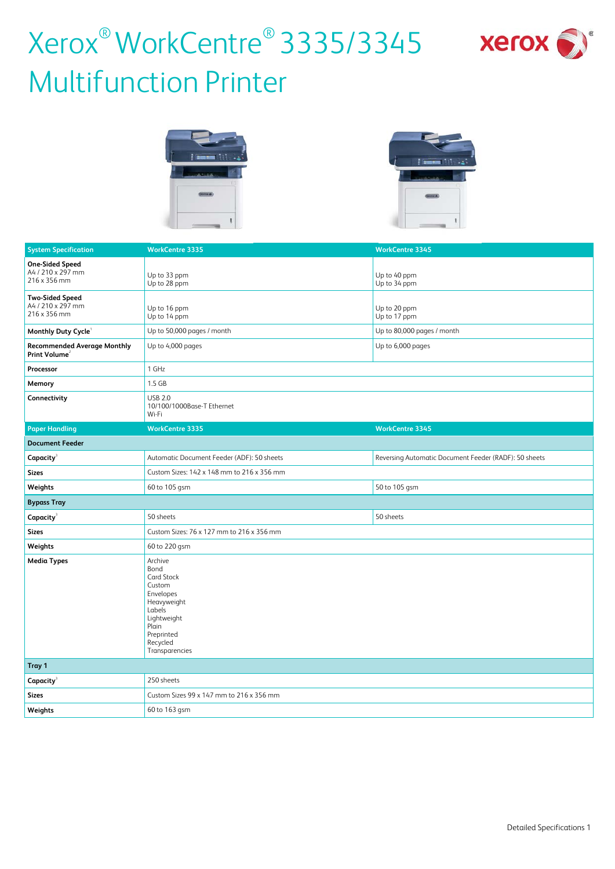

# Xerox<sup>®</sup> WorkCentre<sup>®</sup> 3335/3345 xerox Multifunction Printer





| <b>System Specification</b>                                     | <b>WorkCentre 3335</b>                                                                                                                            | <b>WorkCentre 3345</b>                                |
|-----------------------------------------------------------------|---------------------------------------------------------------------------------------------------------------------------------------------------|-------------------------------------------------------|
| <b>One-Sided Speed</b><br>A4 / 210 x 297 mm<br>216 x 356 mm     | Up to 33 ppm<br>Up to 28 ppm                                                                                                                      | Up to 40 ppm<br>Up to 34 ppm                          |
| <b>Two-Sided Speed</b><br>A4 / 210 x 297 mm<br>216 x 356 mm     | Up to 16 ppm<br>Up to 14 ppm                                                                                                                      | Up to 20 ppm<br>Up to 17 ppm                          |
| Monthly Duty Cycle <sup>1</sup>                                 | Up to 50,000 pages / month                                                                                                                        | Up to 80,000 pages / month                            |
| <b>Recommended Average Monthly</b><br>Print Volume <sup>2</sup> | Up to 4,000 pages                                                                                                                                 | Up to 6,000 pages                                     |
| Processor                                                       | 1 GHz                                                                                                                                             |                                                       |
| Memory                                                          | $1.5$ GB                                                                                                                                          |                                                       |
| Connectivity                                                    | <b>USB 2.0</b><br>10/100/1000Base-T Ethernet<br>Wi-Fi                                                                                             |                                                       |
| <b>Paper Handling</b>                                           | <b>WorkCentre 3335</b>                                                                                                                            | <b>WorkCentre 3345</b>                                |
| <b>Document Feeder</b>                                          |                                                                                                                                                   |                                                       |
| Capacity <sup>3</sup>                                           | Automatic Document Feeder (ADF): 50 sheets                                                                                                        | Reversing Automatic Document Feeder (RADF): 50 sheets |
| <b>Sizes</b>                                                    | Custom Sizes: 142 x 148 mm to 216 x 356 mm                                                                                                        |                                                       |
| Weights                                                         | 60 to 105 gsm                                                                                                                                     | 50 to 105 gsm                                         |
| <b>Bypass Tray</b>                                              |                                                                                                                                                   |                                                       |
| Capacity <sup>3</sup>                                           | 50 sheets                                                                                                                                         | 50 sheets                                             |
| <b>Sizes</b>                                                    | Custom Sizes: 76 x 127 mm to 216 x 356 mm                                                                                                         |                                                       |
| Weights                                                         | 60 to 220 gsm                                                                                                                                     |                                                       |
| <b>Media Types</b>                                              | Archive<br>Bond<br>Card Stock<br>Custom<br>Envelopes<br>Heavyweight<br>Labels<br>Lightweight<br>Plain<br>Preprinted<br>Recycled<br>Transparencies |                                                       |
| Tray 1                                                          |                                                                                                                                                   |                                                       |
| Capacity <sup>3</sup>                                           | 250 sheets                                                                                                                                        |                                                       |
| <b>Sizes</b>                                                    | Custom Sizes 99 x 147 mm to 216 x 356 mm                                                                                                          |                                                       |
| Weights                                                         | 60 to 163 gsm                                                                                                                                     |                                                       |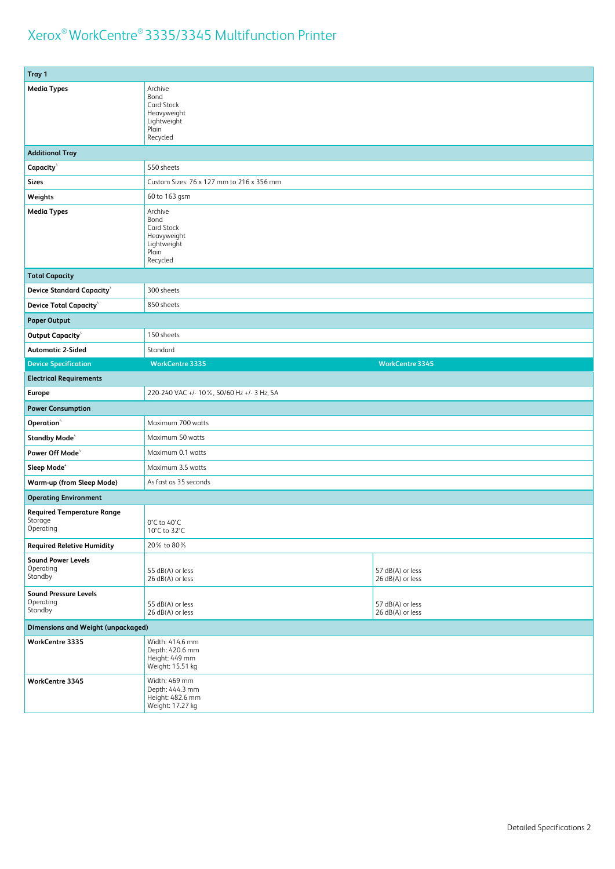| Tray 1                                                    |                                                                                  |                                      |
|-----------------------------------------------------------|----------------------------------------------------------------------------------|--------------------------------------|
| <b>Media Types</b>                                        | Archive<br>Bond<br>Card Stock<br>Heavyweight<br>Lightweight<br>Plain<br>Recycled |                                      |
| <b>Additional Tray</b>                                    |                                                                                  |                                      |
| Capacity <sup>3</sup>                                     | 550 sheets                                                                       |                                      |
| <b>Sizes</b>                                              | Custom Sizes: 76 x 127 mm to 216 x 356 mm                                        |                                      |
| Weights                                                   | 60 to 163 gsm                                                                    |                                      |
| <b>Media Types</b>                                        | Archive<br>Bond<br>Card Stock<br>Heavyweight<br>Lightweight<br>Plain<br>Recycled |                                      |
| <b>Total Capacity</b>                                     |                                                                                  |                                      |
| <b>Device Standard Capacity<sup>3</sup></b>               | 300 sheets                                                                       |                                      |
| <b>Device Total Capacity</b>                              | 850 sheets                                                                       |                                      |
| <b>Paper Output</b>                                       |                                                                                  |                                      |
| Output Capacity <sup>3</sup>                              | 150 sheets                                                                       |                                      |
| <b>Automatic 2-Sided</b>                                  | Standard                                                                         |                                      |
| <b>Device Specification</b>                               | <b>WorkCentre 3335</b>                                                           | <b>WorkCentre 3345</b>               |
| <b>Electrical Requirements</b>                            |                                                                                  |                                      |
| Europe                                                    | 220-240 VAC +/- 10%, 50/60 Hz +/- 3 Hz, 5A                                       |                                      |
| <b>Power Consumption</b>                                  |                                                                                  |                                      |
| Operation <sup>4</sup>                                    | Maximum 700 watts                                                                |                                      |
| <b>Standby Mode</b>                                       | Maximum 50 watts                                                                 |                                      |
| Power Off Mode <sup>4</sup>                               | Maximum 0.1 watts                                                                |                                      |
| Sleep Mode <sup>4</sup>                                   | Maximum 3.5 watts                                                                |                                      |
| <b>Warm-up (from Sleep Mode)</b>                          | As fast as 35 seconds                                                            |                                      |
| <b>Operating Environment</b>                              |                                                                                  |                                      |
| <b>Required Temperature Range</b><br>Storage<br>Operating | 0°C to 40°C<br>10°C to 32°C                                                      |                                      |
| <b>Required Reletive Humidity</b>                         | 20% to 80%                                                                       |                                      |
| <b>Sound Power Levels</b><br>Operating<br>Standby         | 55 dB(A) or less<br>26 dB(A) or less                                             | 57 dB(A) or less<br>26 dB(A) or less |
| <b>Sound Pressure Levels</b><br>Operating<br>Standby      | 55 dB(A) or less<br>26 dB(A) or less                                             | 57 dB(A) or less<br>26 dB(A) or less |
| <b>Dimensions and Weight (unpackaged)</b>                 |                                                                                  |                                      |
| WorkCentre 3335                                           | Width: 414.6 mm<br>Depth: 420.6 mm<br>Height: 449 mm<br>Weight: 15.51 kg         |                                      |
| WorkCentre 3345                                           | Width: 469 mm<br>Depth: 444.3 mm<br>Height: 482.6 mm<br>Weight: 17.27 kg         |                                      |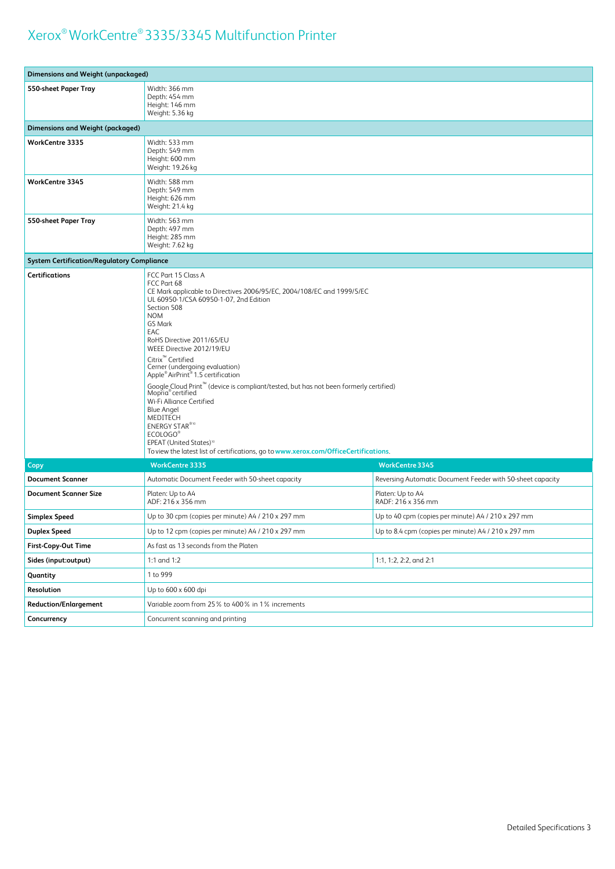| <b>Dimensions and Weight (unpackaged)</b>         |                                                                                                                                                                                                                                                                                                                                                                                                                                                                                                                                                                                                                                                                                                                                                                         |                                                            |
|---------------------------------------------------|-------------------------------------------------------------------------------------------------------------------------------------------------------------------------------------------------------------------------------------------------------------------------------------------------------------------------------------------------------------------------------------------------------------------------------------------------------------------------------------------------------------------------------------------------------------------------------------------------------------------------------------------------------------------------------------------------------------------------------------------------------------------------|------------------------------------------------------------|
| 550-sheet Paper Tray                              | Width: 366 mm<br>Depth: 454 mm<br>Height: 146 mm<br>Weight: 5.36 kg                                                                                                                                                                                                                                                                                                                                                                                                                                                                                                                                                                                                                                                                                                     |                                                            |
| <b>Dimensions and Weight (packaged)</b>           |                                                                                                                                                                                                                                                                                                                                                                                                                                                                                                                                                                                                                                                                                                                                                                         |                                                            |
| <b>WorkCentre 3335</b>                            | Width: 533 mm<br>Depth: 549 mm<br>Height: 600 mm<br>Weight: 19.26 kg                                                                                                                                                                                                                                                                                                                                                                                                                                                                                                                                                                                                                                                                                                    |                                                            |
| <b>WorkCentre 3345</b>                            | Width: 588 mm<br>Depth: 549 mm<br>Height: 626 mm<br>Weight: 21.4 kg                                                                                                                                                                                                                                                                                                                                                                                                                                                                                                                                                                                                                                                                                                     |                                                            |
| 550-sheet Paper Tray                              | Width: 563 mm<br>Depth: 497 mm<br>Height: 285 mm<br>Weight: 7.62 kg                                                                                                                                                                                                                                                                                                                                                                                                                                                                                                                                                                                                                                                                                                     |                                                            |
| <b>System Certification/Regulatory Compliance</b> |                                                                                                                                                                                                                                                                                                                                                                                                                                                                                                                                                                                                                                                                                                                                                                         |                                                            |
| <b>Certifications</b>                             | FCC Part 15 Class A<br>FCC Part 68<br>CE Mark applicable to Directives 2006/95/EC, 2004/108/EC and 1999/5/EC<br>UL 60950-1/CSA 60950-1-07, 2nd Edition<br>Section 508<br><b>NOM</b><br>GS Mark<br>EAC<br>RoHS Directive 2011/65/EU<br>WEEE Directive 2012/19/EU<br>Citrix <sup>"</sup> Certified<br>Cerner (undergoing evaluation)<br>Apple <sup>®</sup> AirPrint <sup>®</sup> 1.5 certification<br>Google Cloud Print <sup>™</sup> (device is compliant/tested, but has not been formerly certified)<br>Mopria <sup>®</sup> certified<br>Wi-Fi Alliance Certified<br><b>Blue Angel</b><br>MEDITECH<br><b>ENERGY STAR®10</b><br>ECOLOGO®<br>EPEAT (United States) <sup>10</sup><br>To view the latest list of certifications, go to www.xerox.com/OfficeCertifications. |                                                            |
| Copy                                              | <b>WorkCentre 3335</b>                                                                                                                                                                                                                                                                                                                                                                                                                                                                                                                                                                                                                                                                                                                                                  | <b>WorkCentre 3345</b>                                     |
| <b>Document Scanner</b>                           | Automatic Document Feeder with 50-sheet capacity                                                                                                                                                                                                                                                                                                                                                                                                                                                                                                                                                                                                                                                                                                                        | Reversing Automatic Document Feeder with 50-sheet capacity |
| <b>Document Scanner Size</b>                      | Platen: Up to A4<br>ADF: 216 x 356 mm                                                                                                                                                                                                                                                                                                                                                                                                                                                                                                                                                                                                                                                                                                                                   | Platen: Up to A4<br>RADF: 216 x 356 mm                     |
| <b>Simplex Speed</b>                              | Up to 30 cpm (copies per minute) A4 / 210 x 297 mm                                                                                                                                                                                                                                                                                                                                                                                                                                                                                                                                                                                                                                                                                                                      | Up to 40 cpm (copies per minute) A4 / 210 x 297 mm         |
| <b>Duplex Speed</b>                               | Up to 12 cpm (copies per minute) A4 / 210 x 297 mm                                                                                                                                                                                                                                                                                                                                                                                                                                                                                                                                                                                                                                                                                                                      | Up to 8.4 cpm (copies per minute) A4 / 210 x 297 mm        |
| First-Copy-Out Time                               | As fast as 13 seconds from the Platen                                                                                                                                                                                                                                                                                                                                                                                                                                                                                                                                                                                                                                                                                                                                   |                                                            |
| Sides (input:output)                              | 1:1 and 1:2<br>1:1, 1:2, 2:2, and 2:1                                                                                                                                                                                                                                                                                                                                                                                                                                                                                                                                                                                                                                                                                                                                   |                                                            |
| Quantity                                          | 1 to 999                                                                                                                                                                                                                                                                                                                                                                                                                                                                                                                                                                                                                                                                                                                                                                |                                                            |
| Resolution                                        | Up to 600 x 600 dpi                                                                                                                                                                                                                                                                                                                                                                                                                                                                                                                                                                                                                                                                                                                                                     |                                                            |
| <b>Reduction/Enlargement</b>                      | Variable zoom from 25% to 400% in 1% increments                                                                                                                                                                                                                                                                                                                                                                                                                                                                                                                                                                                                                                                                                                                         |                                                            |
| Concurrency                                       | Concurrent scanning and printing                                                                                                                                                                                                                                                                                                                                                                                                                                                                                                                                                                                                                                                                                                                                        |                                                            |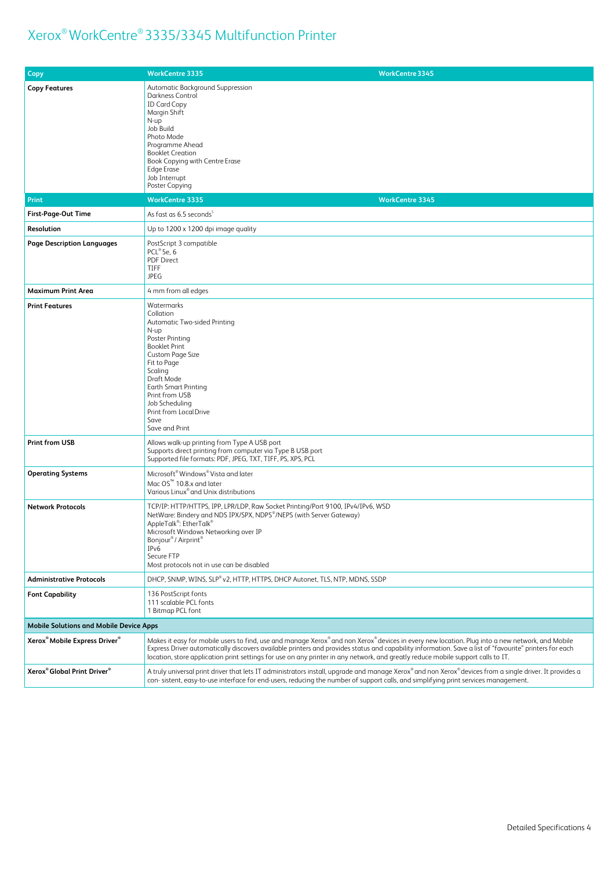| <b>Copy</b>                                           | <b>WorkCentre 3345</b><br><b>WorkCentre 3335</b>                                                                                                                                                                                                                                                                                                                                                                                            |
|-------------------------------------------------------|---------------------------------------------------------------------------------------------------------------------------------------------------------------------------------------------------------------------------------------------------------------------------------------------------------------------------------------------------------------------------------------------------------------------------------------------|
| <b>Copy Features</b>                                  | Automatic Background Suppression<br>Darkness Control<br><b>ID Card Copy</b><br>Margin Shift<br>N-up<br>Job Build<br>Photo Mode<br>Programme Ahead<br><b>Booklet Creation</b><br>Book Copying with Centre Erase<br><b>Edge Erase</b><br>Job Interrupt<br>Poster Copying                                                                                                                                                                      |
| Print                                                 | <b>WorkCentre 3335</b><br><b>WorkCentre 3345</b>                                                                                                                                                                                                                                                                                                                                                                                            |
| First-Page-Out Time                                   | As fast as 6.5 seconds <sup>5</sup>                                                                                                                                                                                                                                                                                                                                                                                                         |
| Resolution                                            | Up to 1200 x 1200 dpi image quality                                                                                                                                                                                                                                                                                                                                                                                                         |
| <b>Page Description Languages</b>                     | PostScript 3 compatible<br>$PCL^{\circ}$ 5e, 6<br><b>PDF Direct</b><br><b>TIFF</b><br>JPEG                                                                                                                                                                                                                                                                                                                                                  |
| <b>Maximum Print Area</b>                             | 4 mm from all edges                                                                                                                                                                                                                                                                                                                                                                                                                         |
| <b>Print Features</b>                                 | Watermarks<br>Collation<br>Automatic Two-sided Printing<br>N-up<br>Poster Printing<br><b>Booklet Print</b><br>Custom Page Size<br>Fit to Page<br>Scaling<br>Draft Mode<br><b>Earth Smart Printing</b><br>Print from USB<br>Job Scheduling<br>Print from Local Drive<br>Save<br>Save and Print                                                                                                                                               |
| <b>Print from USB</b>                                 | Allows walk-up printing from Type A USB port<br>Supports direct printing from computer via Type B USB port<br>Supported file formats: PDF, JPEG, TXT, TIFF, PS, XPS, PCL                                                                                                                                                                                                                                                                    |
| <b>Operating Systems</b>                              | Microsoft <sup>®</sup> Windows <sup>®</sup> Vista and later<br>Mac OS <sup>™</sup> 10.8.x and later<br>Various Linux® and Unix distributions                                                                                                                                                                                                                                                                                                |
| <b>Network Protocols</b>                              | TCP/IP: HTTP/HTTPS, IPP, LPR/LDP, Raw Socket Printing/Port 9100, IPv4/IPv6, WSD<br>NetWare: Bindery and NDS IPX/SPX, NDPS®/NEPS (with Server Gateway)<br>AppleTalk <sup>®</sup> : EtherTalk <sup>®</sup><br>Microsoft Windows Networking over IP<br>Bonjour <sup>®</sup> / Airprint <sup>®</sup><br>IP <sub>v</sub> 6<br>Secure FTP<br>Most protocols not in use can be disabled                                                            |
| <b>Administrative Protocols</b>                       | DHCP, SNMP, WINS, SLP® v2, HTTP, HTTPS, DHCP Autonet, TLS, NTP, MDNS, SSDP                                                                                                                                                                                                                                                                                                                                                                  |
| <b>Font Capability</b>                                | 136 PostScript fonts<br>111 scalable PCL fonts<br>1 Bitmap PCL font                                                                                                                                                                                                                                                                                                                                                                         |
| <b>Mobile Solutions and Mobile Device Apps</b>        |                                                                                                                                                                                                                                                                                                                                                                                                                                             |
| Xerox <sup>®</sup> Mobile Express Driver <sup>®</sup> | Makes it easy for mobile users to find, use and manage Xerox®and non Xerox®devices in every new location. Plug into a new network, and Mobile<br>Express Driver automatically discovers available printers and provides status and capability information. Save a list of "favourite" printers for each<br>location, store application print settings for use on any printer in any network, and greatly reduce mobile support calls to IT. |
| Xerox <sup>®</sup> Global Print Driver <sup>®</sup>   | A truly universal print driver that lets IT administrators install, upgrade and manage Xerox® and non Xerox® devices from a single driver. It provides a<br>con-sistent, easy-to-use interface for end-users, reducing the number of support calls, and simplifying print services management.                                                                                                                                              |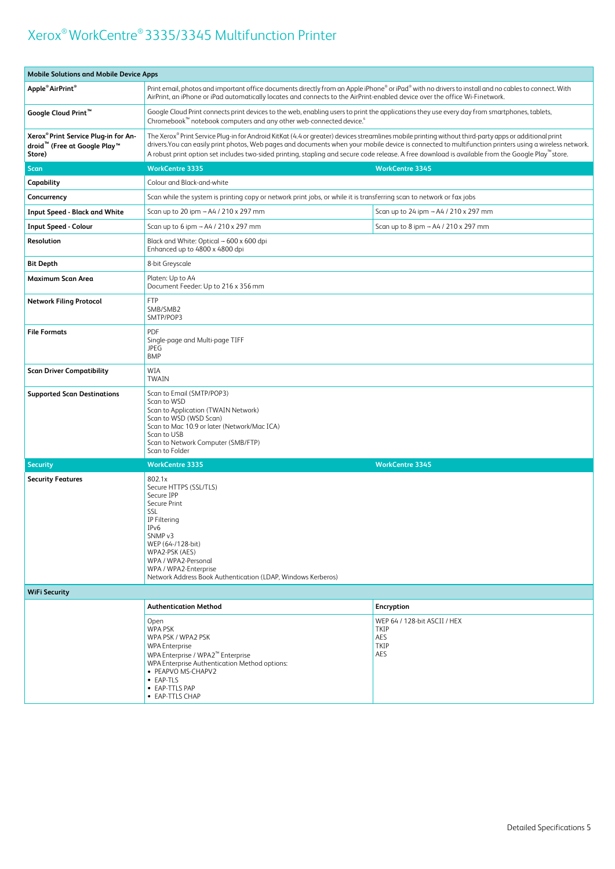| <b>Mobile Solutions and Mobile Device Apps</b>                                                         |                                                                                                                                                                                                                                                                                                                                                                                                                                                                                   |                                                            |
|--------------------------------------------------------------------------------------------------------|-----------------------------------------------------------------------------------------------------------------------------------------------------------------------------------------------------------------------------------------------------------------------------------------------------------------------------------------------------------------------------------------------------------------------------------------------------------------------------------|------------------------------------------------------------|
| Apple <sup>®</sup> AirPrint <sup>®</sup>                                                               | Print email, photos and important office documents directly from an Apple iPhone® or iPad® with no drivers to install and no cables to connect. With<br>AirPrint, an iPhone or iPad automatically locates and connects to the AirPrint-enabled device over the office Wi-Finetwork.                                                                                                                                                                                               |                                                            |
| Google Cloud Print <sup>™</sup>                                                                        | Google Cloud Print connects print devices to the web, enabling users to print the applications they use every day from smartphones, tablets,<br>Chromebook <sup>™</sup> notebook computers and any other web-connected device. <sup>6</sup>                                                                                                                                                                                                                                       |                                                            |
| Xerox® Print Service Plug-in for An-<br>droid <sup>™</sup> (Free at Google Play <sup>™</sup><br>Store) | The Xerox® Print Service Plug-in for Android KitKat (4.4 or greater) devices streamlines mobile printing without third-party apps or additional print<br>drivers. You can easily print photos, Web pages and documents when your mobile device is connected to multifunction printers using a wireless network.<br>A robust print option set includes two-sided printing, stapling and secure code release. A free download is available from the Google Play <sup>™</sup> store. |                                                            |
| <b>Scan</b>                                                                                            | <b>WorkCentre 3335</b><br><b>WorkCentre 3345</b>                                                                                                                                                                                                                                                                                                                                                                                                                                  |                                                            |
| Capability                                                                                             | Colour and Black-and-white                                                                                                                                                                                                                                                                                                                                                                                                                                                        |                                                            |
| Concurrency                                                                                            | Scan while the system is printing copy or network print jobs, or while it is transferring scan to network or fax jobs                                                                                                                                                                                                                                                                                                                                                             |                                                            |
| <b>Input Speed - Black and White</b>                                                                   | Scan up to 20 ipm - A4 / 210 x 297 mm                                                                                                                                                                                                                                                                                                                                                                                                                                             | Scan up to 24 ipm - A4 / 210 x 297 mm                      |
| <b>Input Speed - Colour</b>                                                                            | Scan up to 6 ipm - A4 / 210 x 297 mm                                                                                                                                                                                                                                                                                                                                                                                                                                              | Scan up to 8 ipm - A4 / 210 x 297 mm                       |
| <b>Resolution</b>                                                                                      | Black and White: Optical - 600 x 600 dpi<br>Enhanced up to 4800 x 4800 dpi                                                                                                                                                                                                                                                                                                                                                                                                        |                                                            |
| <b>Bit Depth</b>                                                                                       | 8-bit Greyscale                                                                                                                                                                                                                                                                                                                                                                                                                                                                   |                                                            |
| Maximum Scan Area                                                                                      | Platen: Up to A4<br>Document Feeder: Up to 216 x 356 mm                                                                                                                                                                                                                                                                                                                                                                                                                           |                                                            |
| <b>Network Filing Protocol</b>                                                                         | <b>FTP</b><br>SMB/SMB2<br>SMTP/POP3                                                                                                                                                                                                                                                                                                                                                                                                                                               |                                                            |
| <b>File Formats</b>                                                                                    | <b>PDF</b><br>Single-page and Multi-page TIFF<br><b>JPEG</b><br><b>BMP</b>                                                                                                                                                                                                                                                                                                                                                                                                        |                                                            |
| <b>Scan Driver Compatibility</b>                                                                       | WIA<br>TWAIN                                                                                                                                                                                                                                                                                                                                                                                                                                                                      |                                                            |
| <b>Supported Scan Destinations</b>                                                                     | Scan to Email (SMTP/POP3)<br>Scan to WSD<br>Scan to Application (TWAIN Network)<br>Scan to WSD (WSD Scan)<br>Scan to Mac 10.9 or later (Network/Mac ICA)<br>Scan to USB<br>Scan to Network Computer (SMB/FTP)<br>Scan to Folder                                                                                                                                                                                                                                                   |                                                            |
| <b>Security</b>                                                                                        | <b>WorkCentre 3335</b>                                                                                                                                                                                                                                                                                                                                                                                                                                                            | <b>WorkCentre 3345</b>                                     |
| <b>Security Features</b>                                                                               | 802.1x<br>Secure HTTPS (SSL/TLS)<br>Secure IPP<br>Secure Print<br>SSL<br>IP Filtering<br>IPv6<br>SNMP <sub>v3</sub><br>WEP (64-/128-bit)<br>WPA2-PSK (AES)<br>WPA / WPA2-Personal<br>WPA / WPA2-Enterprise<br>Network Address Book Authentication (LDAP, Windows Kerberos)                                                                                                                                                                                                        |                                                            |
| <b>WiFi Security</b>                                                                                   |                                                                                                                                                                                                                                                                                                                                                                                                                                                                                   |                                                            |
|                                                                                                        | <b>Authentication Method</b>                                                                                                                                                                                                                                                                                                                                                                                                                                                      | Encryption                                                 |
|                                                                                                        | Open<br><b>WPA PSK</b><br>WPA PSK / WPA2 PSK<br><b>WPA Enterprise</b><br>WPA Enterprise / WPA2 <sup>™</sup> Enterprise<br>WPA Enterprise Authentication Method options:<br>• PEAPVO MS-CHAPV2<br>• EAP-TLS<br>• EAP-TTLS PAP<br>• EAP-TTLS CHAP                                                                                                                                                                                                                                   | WEP 64 / 128-bit ASCII / HEX<br>TKIP<br>AES<br>TKIP<br>AES |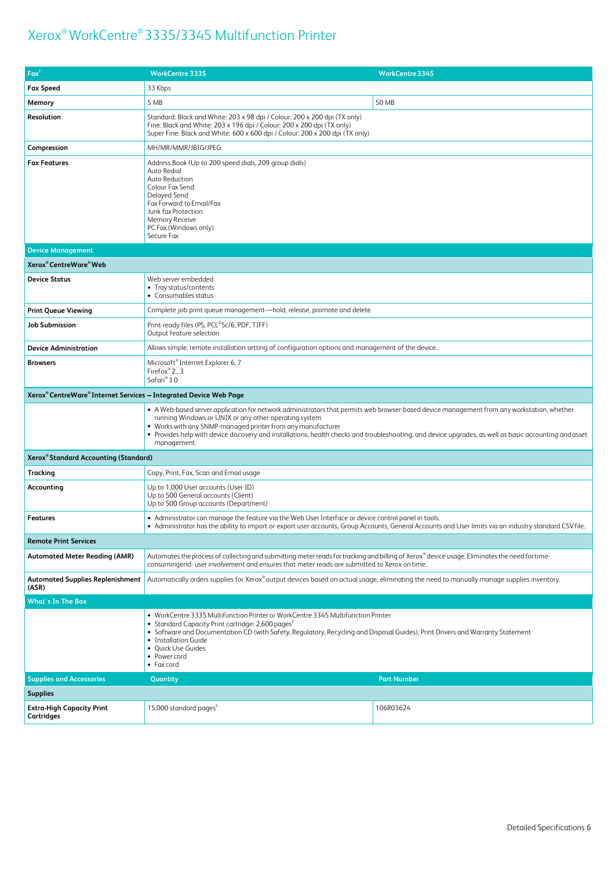| $Fax^7$                                                           | <b>WorkCentre 3335</b>                                                                                                                                                                                                                                                                                                                                                                                                                      | <b>WorkCentre 3345</b> |  |
|-------------------------------------------------------------------|---------------------------------------------------------------------------------------------------------------------------------------------------------------------------------------------------------------------------------------------------------------------------------------------------------------------------------------------------------------------------------------------------------------------------------------------|------------------------|--|
| <b>Fax Speed</b>                                                  | 33 Kbps                                                                                                                                                                                                                                                                                                                                                                                                                                     |                        |  |
| Memory                                                            | 5 MB                                                                                                                                                                                                                                                                                                                                                                                                                                        | 50 MB                  |  |
| Resolution                                                        | Standard: Black and White: 203 x 98 dpi / Colour: 200 x 200 dpi (TX only)<br>Fine: Black and White: 203 x 196 dpi / Colour: 200 x 200 dpi (TX only)<br>Super Fine: Black and White: 600 x 600 dpi / Colour: 200 x 200 dpi (TX only)                                                                                                                                                                                                         |                        |  |
| Compression                                                       | MH/MR/MMR/JBIG/JPEG                                                                                                                                                                                                                                                                                                                                                                                                                         |                        |  |
| <b>Fax Features</b>                                               | Address Book (Up to 200 speed dials, 209 group dials)<br>Auto Redial<br>Auto Reduction<br>Colour Fax Send<br>Delayed Send<br>Fax Forward to Email/Fax<br>Junk fax Protection<br><b>Memory Receive</b><br>PC Fax (Windows only)<br>Secure Fax                                                                                                                                                                                                |                        |  |
| <b>Device Management</b>                                          |                                                                                                                                                                                                                                                                                                                                                                                                                                             |                        |  |
| Xerox® CentreWare® Web                                            |                                                                                                                                                                                                                                                                                                                                                                                                                                             |                        |  |
| <b>Device Status</b>                                              | Web server embedded<br>• Tray status/contents<br>• Consumables status                                                                                                                                                                                                                                                                                                                                                                       |                        |  |
| <b>Print Queue Viewing</b>                                        | Complete job print queue management-hold, release, promote and delete                                                                                                                                                                                                                                                                                                                                                                       |                        |  |
| Job Submission                                                    | Print-ready files (PS, PCL®5c/6, PDF, TIFF)<br>Output feature selection                                                                                                                                                                                                                                                                                                                                                                     |                        |  |
| <b>Device Administration</b>                                      | Allows simple, remote installation setting of configuration options and management of the device.                                                                                                                                                                                                                                                                                                                                           |                        |  |
| <b>Browsers</b>                                                   | Microsoft <sup>®</sup> Internet Explorer 6, 7<br>Firefox $^{\circ}$ 2., 3<br>Safari® 3.0                                                                                                                                                                                                                                                                                                                                                    |                        |  |
| Xerox® CentreWare® Internet Services - Integrated Device Web Page |                                                                                                                                                                                                                                                                                                                                                                                                                                             |                        |  |
|                                                                   | • A Web-based server application for network administrators that permits web browser-based device management from any workstation, whether<br>running Windows or UNIX or any other operating system<br>• Works with any SNMP-managed printer from any manufacturer<br>• Provides help with device discovery and installations, health checks and troubleshooting, and device upgrades, as well as basic accounting and asset<br>management. |                        |  |
| Xerox <sup>®</sup> Standard Accounting (Standard)                 |                                                                                                                                                                                                                                                                                                                                                                                                                                             |                        |  |
| Tracking                                                          | Copy, Print, Fax, Scan and Email usage                                                                                                                                                                                                                                                                                                                                                                                                      |                        |  |
| Accounting                                                        | Up to 1,000 User accounts (User ID)<br>Up to 500 General accounts (Client)<br>Up to 500 Group accounts (Department)                                                                                                                                                                                                                                                                                                                         |                        |  |
| <b>Features</b>                                                   | • Administrator can manage the feature via the Web User Interface or device control panel in tools.<br>. Administrator has the ability to import or export user accounts, Group Accounts, General Accounts and User limits via an industry standard CSV file.                                                                                                                                                                               |                        |  |
| <b>Remote Print Services</b>                                      |                                                                                                                                                                                                                                                                                                                                                                                                                                             |                        |  |
| <b>Automated Meter Reading (AMR)</b>                              | Automates the process of collecting and submitting meter reads for tracking and billing of Xerox® device usage. Eliminates the need for time-<br>consumingend- user involvement and ensures that meter reads are submitted to Xerox on time.                                                                                                                                                                                                |                        |  |
| Automated Supplies Replenishment<br>(ASR)                         | Automatically orders supplies for Xerox®output devices based on actual usage, eliminating the need to manually manage supplies inventory.                                                                                                                                                                                                                                                                                                   |                        |  |
| <b>What's In The Box</b>                                          |                                                                                                                                                                                                                                                                                                                                                                                                                                             |                        |  |
|                                                                   | • WorkCentre 3335 Multifunction Printer or WorkCentre 3345 Multifunction Printer<br>• Standard Capacity Print cartridge: 2,600 pages <sup>8</sup><br>• Software and Documentation CD (with Safety, Regulatory, Recycling and Disposal Guides), Print Drivers and Warranty Statement<br>• Installation Guide<br>• Quick Use Guides<br>• Power cord<br>$\bullet$ Fax cord                                                                     |                        |  |
| <b>Supplies and Accessories</b>                                   | Quantity                                                                                                                                                                                                                                                                                                                                                                                                                                    | <b>Part Number</b>     |  |
| <b>Supplies</b>                                                   |                                                                                                                                                                                                                                                                                                                                                                                                                                             |                        |  |
| <b>Extra-High Capacity Print</b><br>Cartridges                    | 15,000 standard pages <sup>8</sup>                                                                                                                                                                                                                                                                                                                                                                                                          | 106R03624              |  |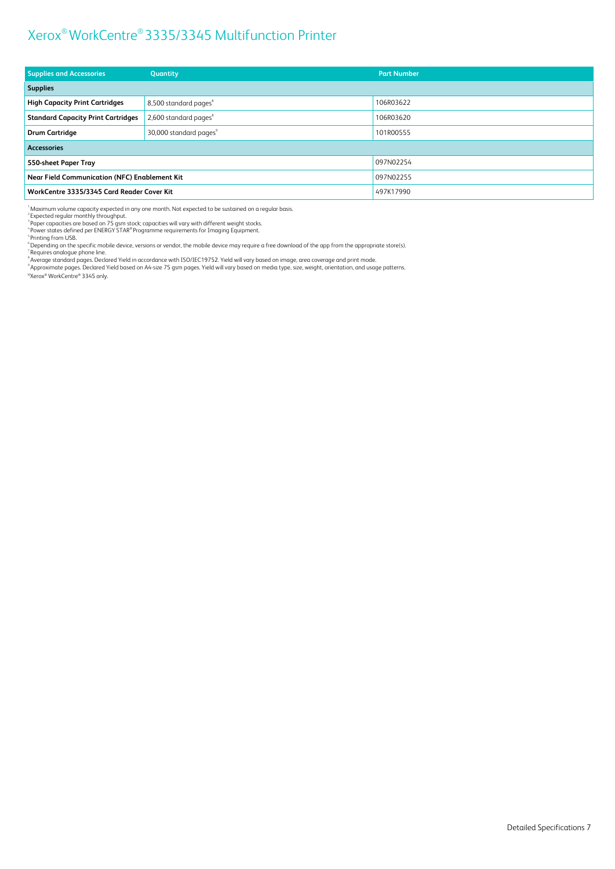| <b>Supplies and Accessories</b>                      | Quantity                           | <b>Part Number</b> |
|------------------------------------------------------|------------------------------------|--------------------|
| <b>Supplies</b>                                      |                                    |                    |
| <b>High Capacity Print Cartridges</b>                | 8,500 standard pages <sup>8</sup>  | 106R03622          |
| <b>Standard Capacity Print Cartridges</b>            | 2,600 standard pages <sup>8</sup>  | 106R03620          |
| <b>Drum Cartridge</b>                                | 30,000 standard pages <sup>9</sup> | 101R00555          |
| <b>Accessories</b>                                   |                                    |                    |
| 550-sheet Paper Tray                                 |                                    | 097N02254          |
| <b>Near Field Communication (NFC) Enablement Kit</b> |                                    | 097N02255          |
| WorkCentre 3335/3345 Card Reader Cover Kit           |                                    | 497K17990          |

 $\frac{1}{2}$ Maximum volume capacity expected in any one month. Not expected to be sustained on a regular basis.

<sup>4</sup> Expected regular monthly throughput.<br><sup>3</sup> Paper capacities are based on 75 gsm stock; capacities will vary with different weight stocks.<br><sup>4</sup> Power states defined per ENERGY STAR® Programme requirements for Imaging Equip

"Depending on the specific mobile device, versions or vendor, the mobile device may require a free download of the app from the appropriate store(s).<br><sup>7</sup> Requires analogue phone line.<br><sup>8</sup> Average standard pages. Declared Y

<sup>10</sup>Xerox ® WorkCentre® 3345 only.